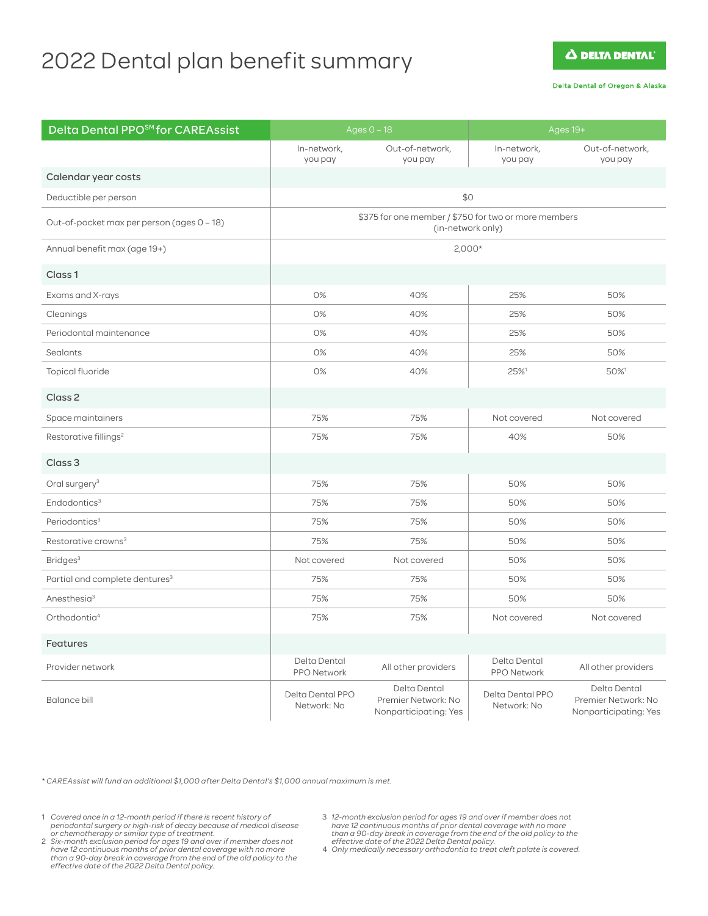# 2022 Dental plan benefit summary

Δ DELTA DENTAL

#### Delta Dental of Oregon & Alaska

| <b>Delta Dental PPO<sup>SM</sup>for CAREAssist</b> | Ages $0 - 18$                                                             |                                                              | Ages 19+                           |                                                              |
|----------------------------------------------------|---------------------------------------------------------------------------|--------------------------------------------------------------|------------------------------------|--------------------------------------------------------------|
|                                                    | In-network,<br>you pay                                                    | Out-of-network,<br>you pay                                   | In-network,<br>you pay             | Out-of-network,<br>you pay                                   |
| Calendar year costs                                |                                                                           |                                                              |                                    |                                                              |
| Deductible per person                              | \$0                                                                       |                                                              |                                    |                                                              |
| Out-of-pocket max per person (ages 0 - 18)         | \$375 for one member / \$750 for two or more members<br>(in-network only) |                                                              |                                    |                                                              |
| Annual benefit max (age 19+)                       | $2,000*$                                                                  |                                                              |                                    |                                                              |
| Class <sub>1</sub>                                 |                                                                           |                                                              |                                    |                                                              |
| Exams and X-rays                                   | 0%                                                                        | 40%                                                          | 25%                                | 50%                                                          |
| Cleanings                                          | 0%                                                                        | 40%                                                          | 25%                                | 50%                                                          |
| Periodontal maintenance                            | 0%                                                                        | 40%                                                          | 25%                                | 50%                                                          |
| Sealants                                           | 0%                                                                        | 40%                                                          | 25%                                | 50%                                                          |
| Topical fluoride                                   | 0%                                                                        | 40%                                                          | 25%1                               | 50%1                                                         |
| Class <sub>2</sub>                                 |                                                                           |                                                              |                                    |                                                              |
| Space maintainers                                  | 75%                                                                       | 75%                                                          | Not covered                        | Not covered                                                  |
| Restorative fillings <sup>2</sup>                  | 75%                                                                       | 75%                                                          | 40%                                | 50%                                                          |
| Class <sub>3</sub>                                 |                                                                           |                                                              |                                    |                                                              |
| Oral surgery <sup>3</sup>                          | 75%                                                                       | 75%                                                          | 50%                                | 50%                                                          |
| Endodontics <sup>3</sup>                           | 75%                                                                       | 75%                                                          | 50%                                | 50%                                                          |
| Periodontics <sup>3</sup>                          | 75%                                                                       | 75%                                                          | 50%                                | 50%                                                          |
| Restorative crowns <sup>3</sup>                    | 75%                                                                       | 75%                                                          | 50%                                | 50%                                                          |
| Bridges <sup>3</sup>                               | Not covered                                                               | Not covered                                                  | 50%                                | 50%                                                          |
| Partial and complete dentures <sup>3</sup>         | 75%                                                                       | 75%                                                          | 50%                                | 50%                                                          |
| Anesthesia <sup>3</sup>                            | 75%                                                                       | 75%                                                          | 50%                                | 50%                                                          |
| Orthodontia <sup>4</sup>                           | 75%                                                                       | 75%                                                          | Not covered                        | Not covered                                                  |
| <b>Features</b>                                    |                                                                           |                                                              |                                    |                                                              |
| Provider network                                   | Delta Dental<br><b>PPO Network</b>                                        | All other providers                                          | Delta Dental<br><b>PPO Network</b> | All other providers                                          |
| <b>Balance bill</b>                                | Delta Dental PPO<br>Network: No                                           | Delta Dental<br>Premier Network: No<br>Nonparticipating: Yes | Delta Dental PPO<br>Network: No    | Delta Dental<br>Premier Network: No<br>Nonparticipating: Yes |

*\* CAREAssist will fund an additional \$1,000 after Delta Dental's \$1,000 annual maximum is met.*

- 
- 1 Covered once in a 12-month period if there is recent history of<br>periodontal surgery or high-risk of decay because of medical disease<br>or chemotherapy or similar type of treatment.<br>2 Six-month exclusion period for ages 19
- 3 12-month exclusion period for ages 19 and over if member does not<br>have 12 continuous months of prior dental coverage with no more<br>than a 90-day break in coverage from the end of the old policy to the<br>effective date of th
	-